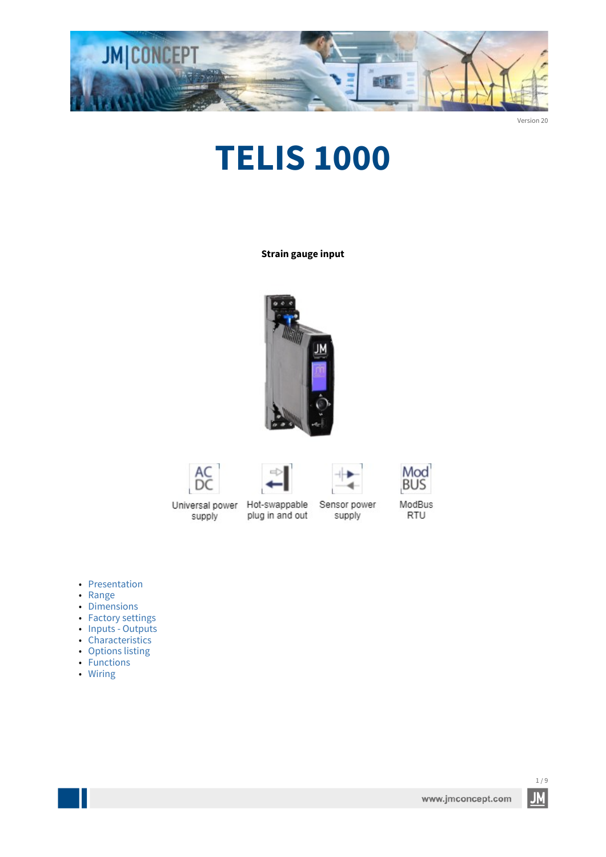

Version 20

# **TELIS 1000**

**Strain gauge input**











ModBus RTU

supply

Universal power Hot-swappable plug in and out

Sensor power supply

- [Presentation](#page-1-0)
- [Range](#page-1-1)
- [Dimensions](#page-2-0)
- [Factory settings](#page-2-1)
- [Inputs - Outputs](#page-3-0)
- [Characteristics](#page-4-0)
- [Options listing](#page-5-0)
- [Functions](#page-6-0)
- [Wiring](#page-8-0)

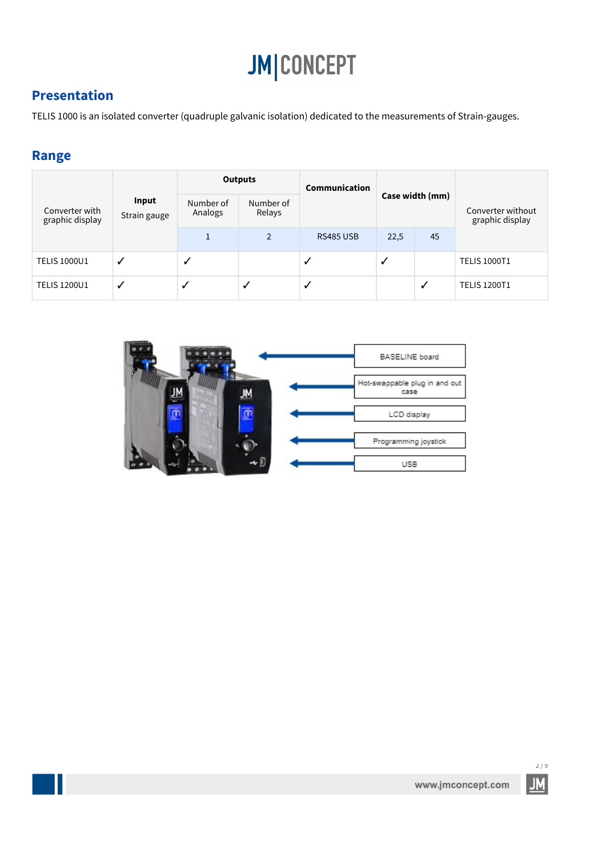#### <span id="page-1-0"></span>**Presentation**

TELIS 1000 is an isolated converter (quadruple galvanic isolation) dedicated to the measurements of Strain-gauges.

#### <span id="page-1-1"></span>**Range**

m.

|                                   | Input<br>Strain gauge | <b>Outputs</b>       |                     | Communication    |                 |              |                                      |
|-----------------------------------|-----------------------|----------------------|---------------------|------------------|-----------------|--------------|--------------------------------------|
| Converter with<br>graphic display |                       | Number of<br>Analogs | Number of<br>Relays |                  | Case width (mm) |              | Converter without<br>graphic display |
|                                   |                       |                      | $\overline{2}$      | <b>RS485 USB</b> | 22,5            | 45           |                                      |
| <b>TELIS 1000U1</b>               | √                     | ✓                    |                     | ✓                | √               |              | <b>TELIS 1000T1</b>                  |
| <b>TELIS 1200U1</b>               | ✓                     |                      | ┙                   | $\checkmark$     |                 | $\checkmark$ | <b>TELIS 1200T1</b>                  |

|  | BASELINE board                        |
|--|---------------------------------------|
|  | Hot-swappable plug in and out<br>case |
|  | LCD display                           |
|  | Programming joystick                  |
|  | USB                                   |

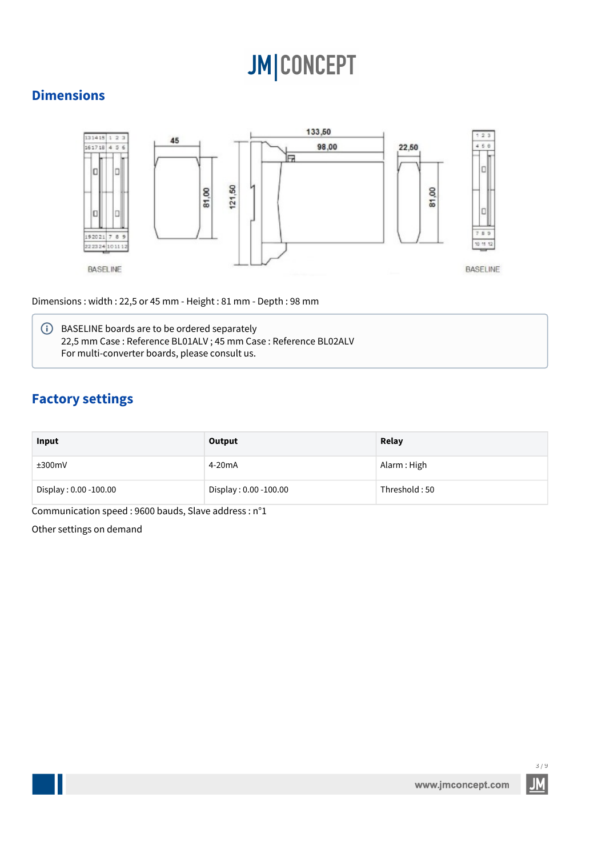#### <span id="page-2-0"></span>**Dimensions**



Dimensions : width : 22,5 or 45 mm - Height : 81 mm - Depth : 98 mm

**i** BASELINE boards are to be ordered separately 22,5 mm Case : Reference BL01ALV ; 45 mm Case : Reference BL02ALV For multi-converter boards, please consult us.

### <span id="page-2-1"></span>**Factory settings**

| Input                 | Output                | Relay         |
|-----------------------|-----------------------|---------------|
| ±300mV                | 4-20 <sub>m</sub> A   | Alarm: High   |
| Display: 0.00 -100.00 | Display: 0.00 -100.00 | Threshold: 50 |

Communication speed : 9600 bauds, Slave address : n°1

Other settings on demand

3 / 9 **ML**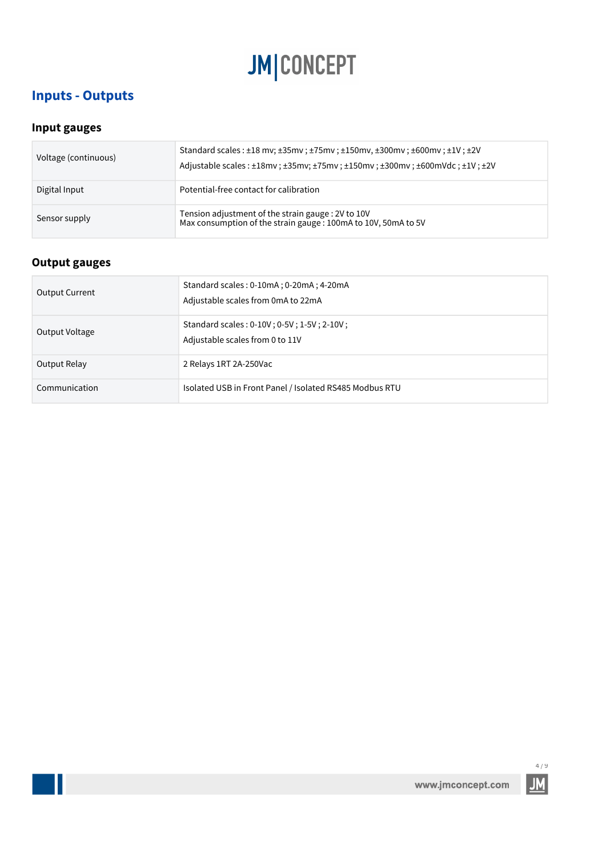### <span id="page-3-0"></span>**Inputs - Outputs**

#### **Input gauges**

| Voltage (continuous) | Standard scales: $\pm 18$ mv; $\pm 35$ mv; $\pm 75$ mv; $\pm 150$ mv, $\pm 300$ mv; $\pm 600$ mv; $\pm 1$ V; $\pm 2V$<br>Adjustable scales: ±18mv; ±35mv; ±75mv; ±150mv; ±300mv; ±600mVdc; ±1V; ±2V |
|----------------------|-----------------------------------------------------------------------------------------------------------------------------------------------------------------------------------------------------|
| Digital Input        | Potential-free contact for calibration                                                                                                                                                              |
| Sensor supply        | Tension adjustment of the strain gauge : 2V to 10V<br>Max consumption of the strain gauge : 100mA to 10V, 50mA to 5V                                                                                |

### **Output gauges**

m.

| <b>Output Current</b> | Standard scales: 0-10mA; 0-20mA; 4-20mA<br>Adjustable scales from 0mA to 22mA |
|-----------------------|-------------------------------------------------------------------------------|
| Output Voltage        | Standard scales: 0-10V; 0-5V; 1-5V; 2-10V;<br>Adjustable scales from 0 to 11V |
| Output Relay          | 2 Relays 1RT 2A-250Vac                                                        |
| Communication         | Isolated USB in Front Panel / Isolated RS485 Modbus RTU                       |



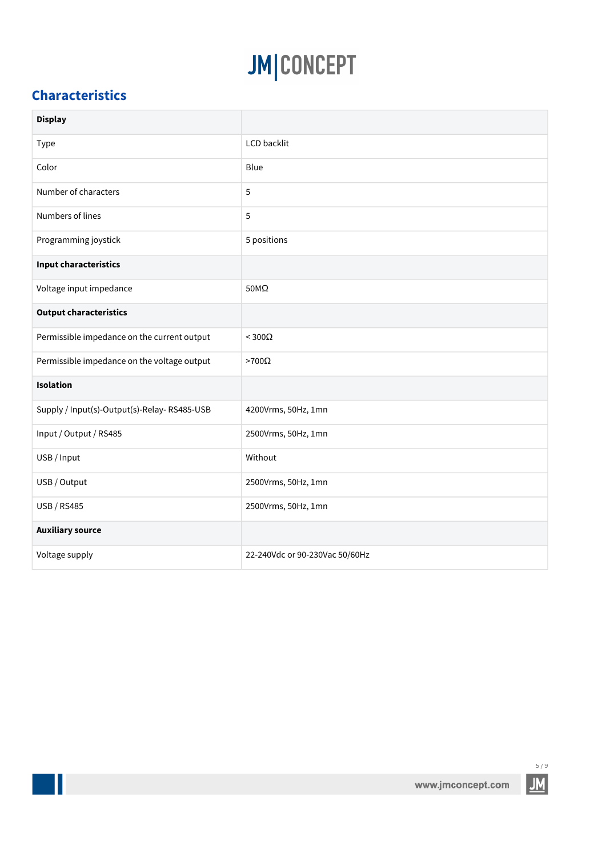### <span id="page-4-0"></span>**Characteristics**

 $\mathbb{R}^2$ 

| <b>Display</b>                              |                                |
|---------------------------------------------|--------------------------------|
| Type                                        | <b>LCD</b> backlit             |
| Color                                       | Blue                           |
| Number of characters                        | 5                              |
| Numbers of lines                            | 5                              |
| Programming joystick                        | 5 positions                    |
| <b>Input characteristics</b>                |                                |
| Voltage input impedance                     | $50M\Omega$                    |
| <b>Output characteristics</b>               |                                |
| Permissible impedance on the current output | $<$ 300 $\Omega$               |
| Permissible impedance on the voltage output | $>700\Omega$                   |
| Isolation                                   |                                |
| Supply / Input(s)-Output(s)-Relay-RS485-USB | 4200Vrms, 50Hz, 1mn            |
| Input / Output / RS485                      | 2500Vrms, 50Hz, 1mn            |
| USB / Input                                 | Without                        |
| USB / Output                                | 2500Vrms, 50Hz, 1mn            |
| <b>USB / RS485</b>                          | 2500Vrms, 50Hz, 1mn            |
| <b>Auxiliary source</b>                     |                                |
| Voltage supply                              | 22-240Vdc or 90-230Vac 50/60Hz |

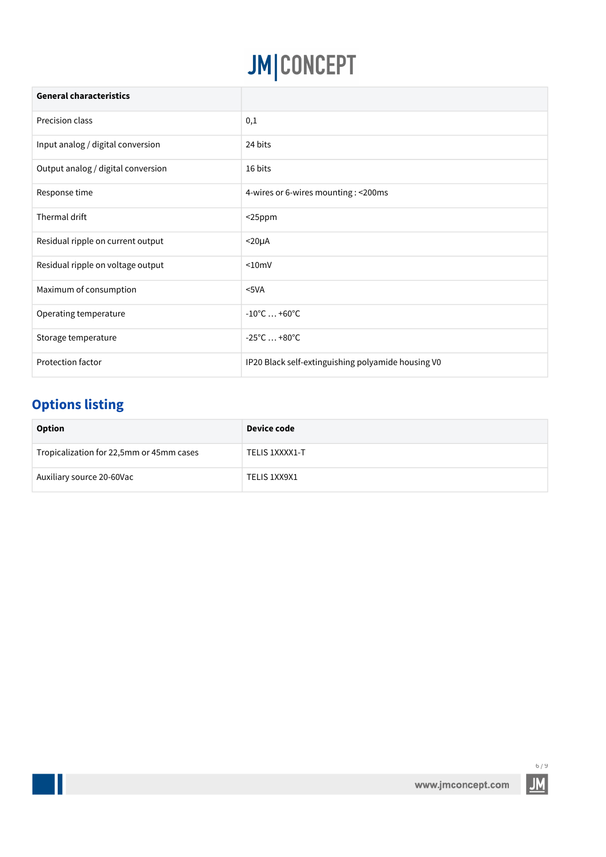| <b>General characteristics</b>     |                                                    |
|------------------------------------|----------------------------------------------------|
| Precision class                    | $_{0,1}$                                           |
| Input analog / digital conversion  | 24 bits                                            |
| Output analog / digital conversion | 16 bits                                            |
| Response time                      | 4-wires or 6-wires mounting : < 200ms              |
| Thermal drift                      | $25ppm$                                            |
| Residual ripple on current output  | $<$ 20 $\mu$ A                                     |
| Residual ripple on voltage output  | < 10mV                                             |
| Maximum of consumption             | $5VA$                                              |
| Operating temperature              | $-10^{\circ}$ C  +60 $^{\circ}$ C                  |
| Storage temperature                | $-25^{\circ}$ C  +80 $^{\circ}$ C                  |
| Protection factor                  | IP20 Black self-extinguishing polyamide housing V0 |

### <span id="page-5-0"></span>**Options listing**

| Option                                   | Device code    |
|------------------------------------------|----------------|
| Tropicalization for 22,5mm or 45mm cases | TELIS 1XXXX1-T |
| Auxiliary source 20-60Vac                | TELIS 1XX9X1   |

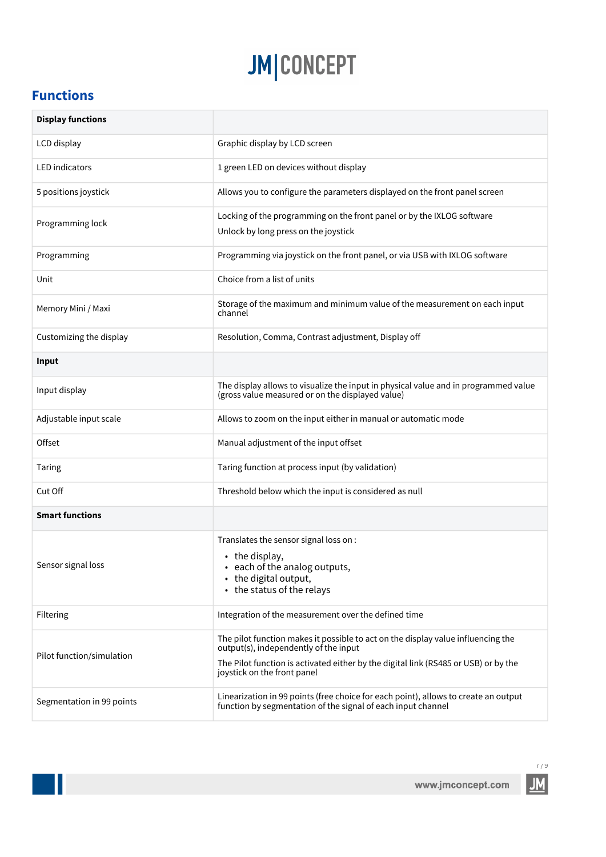### <span id="page-6-0"></span>**Functions**

 $\mathbb{R}^3$ 

| <b>Display functions</b>  |                                                                                                                                                                                                                                                 |
|---------------------------|-------------------------------------------------------------------------------------------------------------------------------------------------------------------------------------------------------------------------------------------------|
| LCD display               | Graphic display by LCD screen                                                                                                                                                                                                                   |
| <b>LED</b> indicators     | 1 green LED on devices without display                                                                                                                                                                                                          |
| 5 positions joystick      | Allows you to configure the parameters displayed on the front panel screen                                                                                                                                                                      |
| Programming lock          | Locking of the programming on the front panel or by the IXLOG software<br>Unlock by long press on the joystick                                                                                                                                  |
| Programming               | Programming via joystick on the front panel, or via USB with IXLOG software                                                                                                                                                                     |
| Unit                      | Choice from a list of units                                                                                                                                                                                                                     |
| Memory Mini / Maxi        | Storage of the maximum and minimum value of the measurement on each input<br>channel                                                                                                                                                            |
| Customizing the display   | Resolution, Comma, Contrast adjustment, Display off                                                                                                                                                                                             |
| Input                     |                                                                                                                                                                                                                                                 |
| Input display             | The display allows to visualize the input in physical value and in programmed value<br>(gross value measured or on the displayed value)                                                                                                         |
| Adjustable input scale    | Allows to zoom on the input either in manual or automatic mode                                                                                                                                                                                  |
| Offset                    | Manual adjustment of the input offset                                                                                                                                                                                                           |
| Taring                    | Taring function at process input (by validation)                                                                                                                                                                                                |
| Cut Off                   | Threshold below which the input is considered as null                                                                                                                                                                                           |
| <b>Smart functions</b>    |                                                                                                                                                                                                                                                 |
| Sensor signal loss        | Translates the sensor signal loss on :<br>• the display,<br>• each of the analog outputs,<br>• the digital output,<br>• the status of the relays                                                                                                |
| Filtering                 | Integration of the measurement over the defined time                                                                                                                                                                                            |
| Pilot function/simulation | The pilot function makes it possible to act on the display value influencing the<br>output(s), independently of the input<br>The Pilot function is activated either by the digital link (RS485 or USB) or by the<br>joystick on the front panel |
| Segmentation in 99 points | Linearization in 99 points (free choice for each point), allows to create an output<br>function by segmentation of the signal of each input channel                                                                                             |

 $\frac{7}{9}$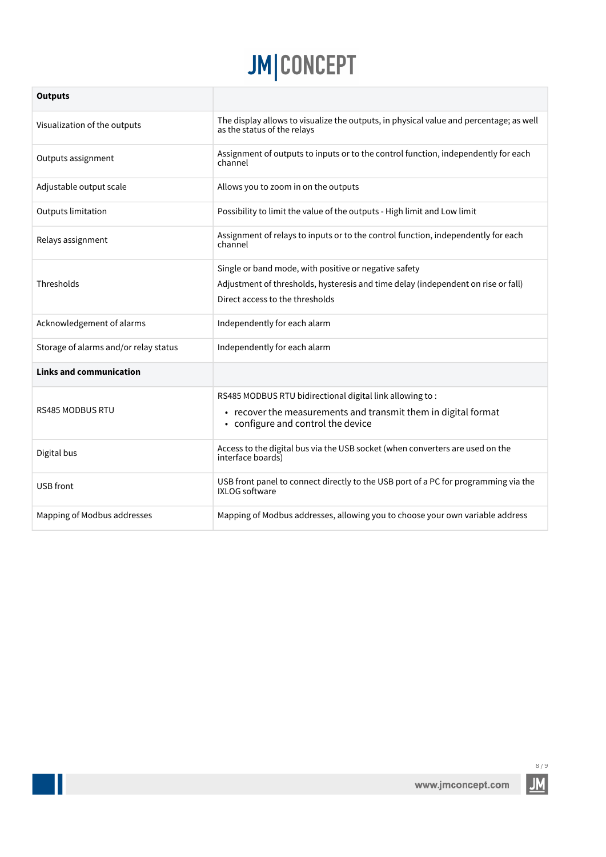| <b>Outputs</b>                        |                                                                                                                       |
|---------------------------------------|-----------------------------------------------------------------------------------------------------------------------|
| Visualization of the outputs          | The display allows to visualize the outputs, in physical value and percentage; as well<br>as the status of the relays |
| Outputs assignment                    | Assignment of outputs to inputs or to the control function, independently for each<br>channel                         |
| Adjustable output scale               | Allows you to zoom in on the outputs                                                                                  |
| Outputs limitation                    | Possibility to limit the value of the outputs - High limit and Low limit                                              |
| Relays assignment                     | Assignment of relays to inputs or to the control function, independently for each<br>channel                          |
|                                       | Single or band mode, with positive or negative safety                                                                 |
| Thresholds                            | Adjustment of thresholds, hysteresis and time delay (independent on rise or fall)                                     |
|                                       | Direct access to the thresholds                                                                                       |
| Acknowledgement of alarms             | Independently for each alarm                                                                                          |
| Storage of alarms and/or relay status | Independently for each alarm                                                                                          |
| <b>Links and communication</b>        |                                                                                                                       |
|                                       | RS485 MODBUS RTU bidirectional digital link allowing to:                                                              |
| <b>RS485 MODBUS RTU</b>               | • recover the measurements and transmit them in digital format<br>• configure and control the device                  |
| Digital bus                           | Access to the digital bus via the USB socket (when converters are used on the<br>interface boards)                    |
| USB front                             | USB front panel to connect directly to the USB port of a PC for programming via the<br><b>IXLOG</b> software          |
| Mapping of Modbus addresses           | Mapping of Modbus addresses, allowing you to choose your own variable address                                         |

 $\mathbb{R}^2$